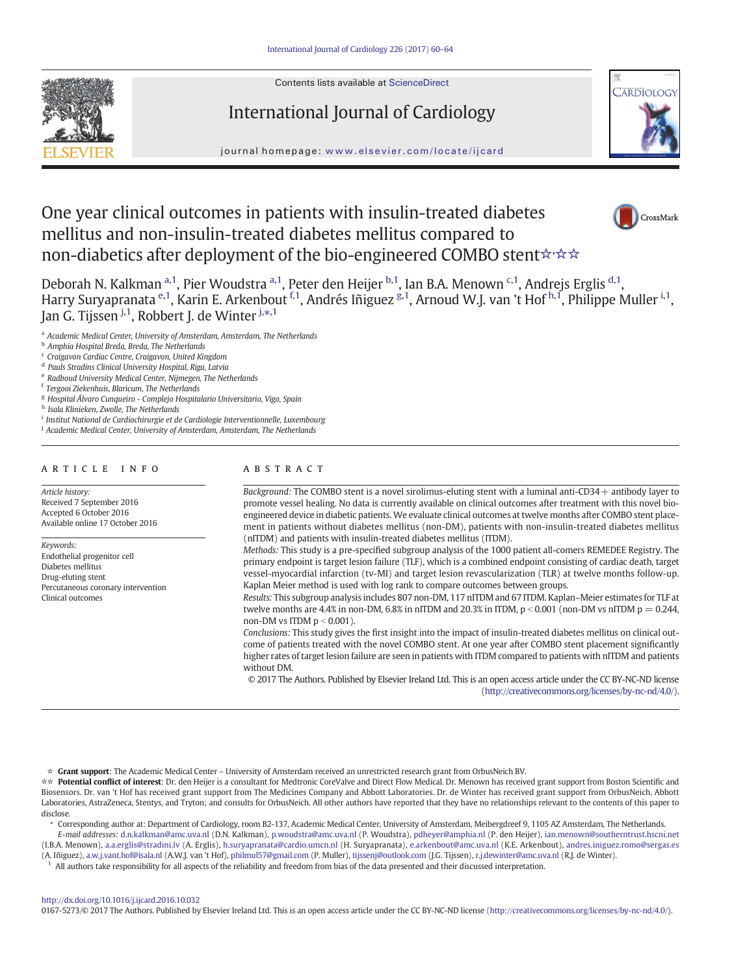Contents lists available at [ScienceDirect](http://www.sciencedirect.com/science/journal/01675273)







# journal homepage: <www.elsevier.com/locate/ijcard>

# One year clinical outcomes in patients with insulin-treated diabetes mellitus and non-insulin-treated diabetes mellitus compared to non-diabetics after deployment of the bio-engineered COMBO stent☆☆☆



Deborah N. Kalkman <sup>a, 1</sup>, Pier Woudstra <sup>a, 1</sup>, Peter den Heijer <sup>b, 1</sup>, Ian B.A. Menown <sup>c, 1</sup>, Andrejs Erglis <sup>d, 1</sup>, Harry Suryapranata <sup>e,1</sup>, Karin E. Arkenbout <sup>f,1</sup>, Andrés Iñiguez <sup>g,1</sup>, Arnoud W.J. van 't Hof <sup>h,1</sup>, Philippe Muller <sup>i,1</sup>, Jan G. Tijssen <sup>j,1</sup>, Robbert J. de Winter <sup>j,</sup>\*<sup>,1</sup>

<sup>a</sup> Academic Medical Center, University of Amsterdam, Amsterdam, The Netherlands

**b** Amphia Hospital Breda, Breda, The Netherlands

<sup>c</sup> Craigavon Cardiac Centre, Craigavon, United Kingdom

<sup>d</sup> Pauls Stradins Clinical University Hospital, Riga, Latvia

Radboud University Medical Center, Nijmegen, The Netherlands

<sup>f</sup> Tergooi Ziekenhuis, Blaricum, The Netherlands

<sup>g</sup> Hospital Álvaro Cunqueiro - Complejo Hospitalario Universitario, Vigo, Spain h Isala Klinieken, Zwolle, The Netherlands

<sup>i</sup> Institut National de Cardiochirurgie et de Cardiologie Interventionnelle, Luxembourg

<sup>j</sup> Academic Medical Center, University of Amsterdam, Amsterdam, The Netherlands

#### article info abstract

Article history: Received 7 September 2016 Accepted 6 October 2016 Available online 17 October 2016

Keywords: Endothelial progenitor cell Diabetes mellitus Drug-eluting stent Percutaneous coronary intervention Clinical outcomes

Background: The COMBO stent is a novel sirolimus-eluting stent with a luminal anti-CD34+ antibody layer to promote vessel healing. No data is currently available on clinical outcomes after treatment with this novel bioengineered device in diabetic patients.We evaluate clinical outcomes at twelve months after COMBO stent placement in patients without diabetes mellitus (non-DM), patients with non-insulin-treated diabetes mellitus (nITDM) and patients with insulin-treated diabetes mellitus (ITDM).

Methods: This study is a pre-specified subgroup analysis of the 1000 patient all-comers REMEDEE Registry. The primary endpoint is target lesion failure (TLF), which is a combined endpoint consisting of cardiac death, target vessel-myocardial infarction (tv-MI) and target lesion revascularization (TLR) at twelve months follow-up. Kaplan Meier method is used with log rank to compare outcomes between groups.

Results: This subgroup analysis includes 807 non-DM, 117 nITDM and 67 ITDM. Kaplan–Meier estimates for TLF at twelve months are 4.4% in non-DM, 6.8% in nITDM and 20.3% in ITDM,  $p < 0.001$  (non-DM vs nITDM  $p = 0.244$ , non-DM vs ITDM  $p < 0.001$ ).

Conclusions: This study gives the first insight into the impact of insulin-treated diabetes mellitus on clinical outcome of patients treated with the novel COMBO stent. At one year after COMBO stent placement significantly higher rates of target lesion failure are seen in patients with ITDM compared to patients with nITDM and patients without DM.

© 2017 The Authors. Published by Elsevier Ireland Ltd. This is an open access article under the CC BY-NC-ND license [\(http://creativecommons.org/licenses/by-nc-nd/4.0/](http://creativecommons.org/licenses/by-nc-nd/4.0/)).

☆ Grant support: The Academic Medical Center – University of Amsterdam received an unrestricted research grant from OrbusNeich BV.

☆☆ Potential conflict of interest: Dr. den Heijer is a consultant for Medtronic CoreValve and Direct Flow Medical. Dr. Menown has received grant support from Boston Scientific and Biosensors. Dr. van 't Hof has received grant support from The Medicines Company and Abbott Laboratories. Dr. de Winter has received grant support from OrbusNeich, Abbott Laboratories, AstraZeneca, Stentys, and Tryton; and consults for OrbusNeich. All other authors have reported that they have no relationships relevant to the contents of this paper to disclose.

⁎ Corresponding author at: Department of Cardiology, room B2-137, Academic Medical Center, University of Amsterdam, Meibergdreef 9, 1105 AZ Amsterdam, The Netherlands. E-mail addresses: d.n.kalkman@amc.uva.nl (D.N. Kalkman), p.woudstra@amc.uva.nl (P. Woudstra), pdheyer@amphia.nl (P. den Heijer), ian.menown@southerntrust.hscni.net

(I.B.A. Menown), a.a.erglis@stradini.lv (A. Erglis), h.suryapranata@cardio.umcn.nl (H. Suryapranata), e.arkenbout@amc.uva.nl (K.E. Arkenbout), andres.iniguez.romo@sergas.es (A. Iñiguez), a.w.j.vant.hof@isala.nl (A.W.J. van 't Hof), philmul57@gmail.com (P. Muller), tijssenj@outlook.com (J.G. Tijssen), [r.j.dewinter@amc.uva.nl](mailto:r.j.dewinter@amc.uva.nl) (R.J. de Winter).

<sup>1</sup> All authors take responsibility for all aspects of the reliability and freedom from bias of the data presented and their discussed interpretation.

# <http://dx.doi.org/10.1016/j.ijcard.2016.10.032>

0167-5273/© 2017 The Authors. Published by Elsevier Ireland Ltd. This is an open access article under the CC BY-NC-ND license (<http://creativecommons.org/licenses/by-nc-nd/4.0/>).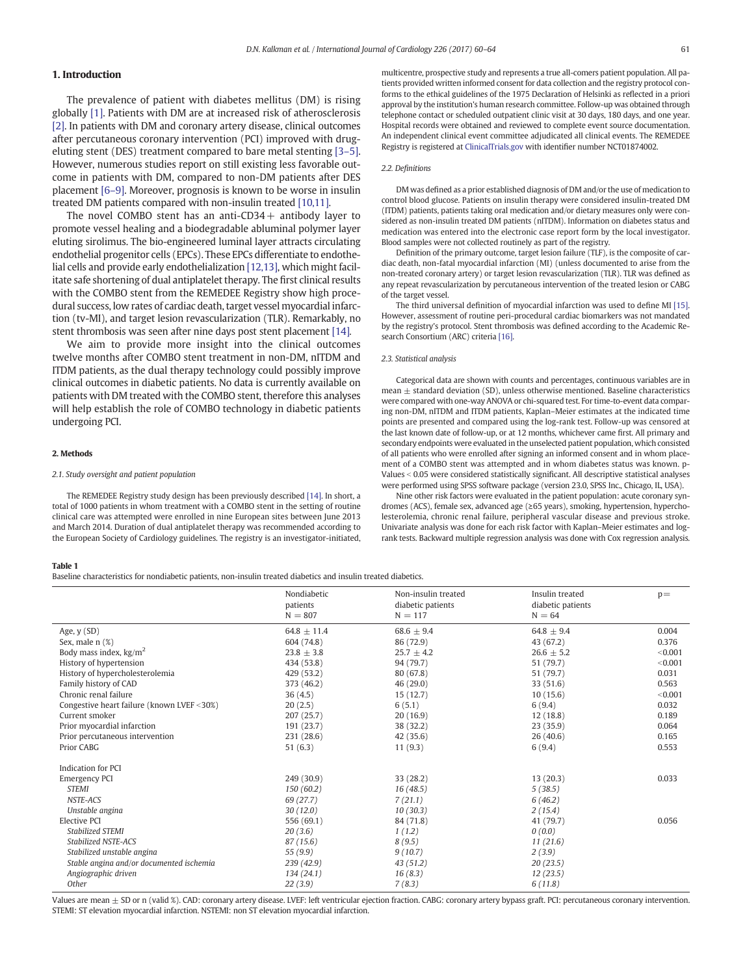# <span id="page-1-0"></span>1. Introduction

The prevalence of patient with diabetes mellitus (DM) is rising globally [\[1\].](#page-4-0) Patients with DM are at increased risk of atherosclerosis [\[2\]](#page-4-0). In patients with DM and coronary artery disease, clinical outcomes after percutaneous coronary intervention (PCI) improved with drugeluting stent (DES) treatment compared to bare metal stenting [3–[5\].](#page-4-0) However, numerous studies report on still existing less favorable outcome in patients with DM, compared to non-DM patients after DES placement [\[6](#page-4-0)–9]. Moreover, prognosis is known to be worse in insulin treated DM patients compared with non-insulin treated [\[10,11\].](#page-4-0)

The novel COMBO stent has an anti-CD34  $+$  antibody layer to promote vessel healing and a biodegradable abluminal polymer layer eluting sirolimus. The bio-engineered luminal layer attracts circulating endothelial progenitor cells (EPCs). These EPCs differentiate to endothelial cells and provide early endothelialization [\[12,13\],](#page-4-0) which might facilitate safe shortening of dual antiplatelet therapy. The first clinical results with the COMBO stent from the REMEDEE Registry show high procedural success, low rates of cardiac death, target vessel myocardial infarction (tv-MI), and target lesion revascularization (TLR). Remarkably, no stent thrombosis was seen after nine days post stent placement [\[14\]](#page-4-0).

We aim to provide more insight into the clinical outcomes twelve months after COMBO stent treatment in non-DM, nITDM and ITDM patients, as the dual therapy technology could possibly improve clinical outcomes in diabetic patients. No data is currently available on patients with DM treated with the COMBO stent, therefore this analyses will help establish the role of COMBO technology in diabetic patients undergoing PCI.

#### 2. Methods

# 2.1. Study oversight and patient population

The REMEDEE Registry study design has been previously described [\[14\]](#page-4-0). In short, a total of 1000 patients in whom treatment with a COMBO stent in the setting of routine clinical care was attempted were enrolled in nine European sites between June 2013 and March 2014. Duration of dual antiplatelet therapy was recommended according to the European Society of Cardiology guidelines. The registry is an investigator-initiated,

#### Table 1

Indication for PCI

Stabilized NSTE-ACS

Baseline characteristics for nondiabetic patients, non-insulin treated diabetics and insulin treated diabetics.

Stable angina and/or documented ischemia 239 (42.9) 43 (51.2)

Nondiabetic patients

STEMI 5 (38.5) 5 (38.5) NSTE-ACS 69 (27.7)  $7(21.1)$  6 (46.2) Unstable angina 2(15.4) 2(15.4) 2(15.4)

Stabilized STEMI 20 (3.6) 1 (1.2) 0 (0.0)<br>
Stabilized NSTE-ACS 87 (15.6) 8 (9.5) 8 (9.5) 11 (21.6)

Stabilized unstable angina and/or documented ischemia <br>  $\begin{array}{c}\n 55 (9.9) \\
 239 (42.9) \\
 43 (51.2) \\
 43 (51.2)\n \end{array}$   $\begin{array}{c}\n 9 (10.7) \\
 43 (51.2)\n \end{array}$   $\begin{array}{c}\n 2 (3.9) \\
 20 (23.5)\n \end{array}$ 

multicentre, prospective study and represents a true all-comers patient population. All patients provided written informed consent for data collection and the registry protocol conforms to the ethical guidelines of the 1975 Declaration of Helsinki as reflected in a priori approval by the institution's human research committee. Follow-up was obtained through telephone contact or scheduled outpatient clinic visit at 30 days, 180 days, and one year. Hospital records were obtained and reviewed to complete event source documentation. An independent clinical event committee adjudicated all clinical events. The REMEDEE Registry is registered at [ClinicalTrials.gov](http://ClinicalTrials.gov) with identifier number NCT01874002.

#### 2.2. Definitions

DM was defined as a prior established diagnosis of DM and/or the use of medication to control blood glucose. Patients on insulin therapy were considered insulin-treated DM (ITDM) patients, patients taking oral medication and/or dietary measures only were considered as non-insulin treated DM patients (nITDM). Information on diabetes status and medication was entered into the electronic case report form by the local investigator. Blood samples were not collected routinely as part of the registry.

Definition of the primary outcome, target lesion failure (TLF), is the composite of cardiac death, non-fatal myocardial infarction (MI) (unless documented to arise from the non-treated coronary artery) or target lesion revascularization (TLR). TLR was defined as any repeat revascularization by percutaneous intervention of the treated lesion or CABG of the target vessel.

The third universal definition of myocardial infarction was used to define MI [\[15\]](#page-4-0). However, assessment of routine peri-procedural cardiac biomarkers was not mandated by the registry's protocol. Stent thrombosis was defined according to the Academic Research Consortium (ARC) criteria [\[16\]](#page-4-0).

#### 2.3. Statistical analysis

Non-insulin treated diabetic patients<br> $N = 117$ 

 $N = 807$   $N = 117$   $N = 64$ 

Categorical data are shown with counts and percentages, continuous variables are in mean  $\pm$  standard deviation (SD), unless otherwise mentioned. Baseline characteristics were compared with one-way ANOVA or chi-squared test. For time-to-event data comparing non-DM, nITDM and ITDM patients, Kaplan–Meier estimates at the indicated time points are presented and compared using the log-rank test. Follow-up was censored at the last known date of follow-up, or at 12 months, whichever came first. All primary and secondary endpoints were evaluated in the unselected patient population, which consisted of all patients who were enrolled after signing an informed consent and in whom placement of a COMBO stent was attempted and in whom diabetes status was known. p-Values < 0.05 were considered statistically significant. All descriptive statistical analyses were performed using SPSS software package (version 23.0, SPSS Inc., Chicago, IL, USA).

Nine other risk factors were evaluated in the patient population: acute coronary syndromes (ACS), female sex, advanced age (≥65 years), smoking, hypertension, hypercholesterolemia, chronic renal failure, peripheral vascular disease and previous stroke. Univariate analysis was done for each risk factor with Kaplan–Meier estimates and logrank tests. Backward multiple regression analysis was done with Cox regression analysis.

> Insulin treated diabetic patients

 $p=$ 

| Angiographic driven                                                                        | 134 (24.1) | 16(8.3) | 12(23.5)                                                                                                                                                                                     |  |
|--------------------------------------------------------------------------------------------|------------|---------|----------------------------------------------------------------------------------------------------------------------------------------------------------------------------------------------|--|
| Other                                                                                      | 22(3.9)    | 7(8.3)  | 6(11.8)                                                                                                                                                                                      |  |
|                                                                                            |            |         | Values are mean $\pm$ SD or n (valid %). CAD: coronary artery disease. LVEF: left ventricular ejection fraction. CABG: coronary artery bypass graft. PCI: percutaneous coronary intervention |  |
| STEMI: ST elevation myocardial infarction. NSTEMI: non ST elevation myocardial infarction. |            |         |                                                                                                                                                                                              |  |

Emergency PCI 249 (30.9) 33 (28.2) 13 (20.3) 0.033

Elective PCI 556 (69.1) 84 (71.8) 41 (79.7) 0.056

Age, y (SD) 64.8  $\pm$  11.4 68.6  $\pm$  9.4 64.8  $\pm$  9.4 64.8  $\pm$  9.4 64.8  $\pm$  9.4 64.8  $\pm$  9.4 64.8  $\pm$  9.4 64.8  $\pm$  9.4 64.8  $\pm$  9.4 64.8  $\pm$  9.4 64.8  $\pm$  9.4 64.8  $\pm$  9.4 64.8  $\pm$  9.4 64.8  $\pm$  9.4 64.8  $\pm$  9. Sex, male n (%) 604 (74.8) 86 (72.9) 43 (67.2) 0.376  $B$ ody mass index, kg/m<sup>2</sup> 23.8  $\pm$  3.8  $\pm$  3.8  $\pm$  3.8  $\pm$  3.8  $\pm$  3.7  $\pm$  4.2  $\pm$  26.6  $\pm$  5.2  $\pm$  3.001 History of hypertension 434 (53.8) 94 (79.7) 51 (79.7) b0.001 History of hypercholesterolemia <br>
Family history of CAD (0.031 and 0.031 (7.9.7) 51 (79.7) 51 (79.7) 6.031<br>
51 (79.7) 51 (79.7) 6.563 Family history of CAD 6.563 (31.6) 373 (46.2) 46 (29.0) 46 (29.0) 33 (51.6) 33 (51.6) 6.563 Chronic renal failure 36 (4.5) 15 (12.7) 10 (15.6) 10 (15.6) 10 (15.6)  $C$ ongestive heart failure (known LVEF <30%)  $20 (2.5)$  6 (5.1) 6 (9.4) 6 (9.4) 0.032 Current smoker 207 (25.7) 20 (16.9) 12 (18.8) 0.189 Prior myocardial infarction 191 (23.7) 38 (32.2) 23 (35.9) 23 (35.9) 23 (35.9) Prior percutaneous intervention 231 (28.6) 42 (35.6) 26 (40.6) 0.165 Prior CABG 6.9.4 (11 (9.3) 11 (9.3) 6 (9.4) 6.553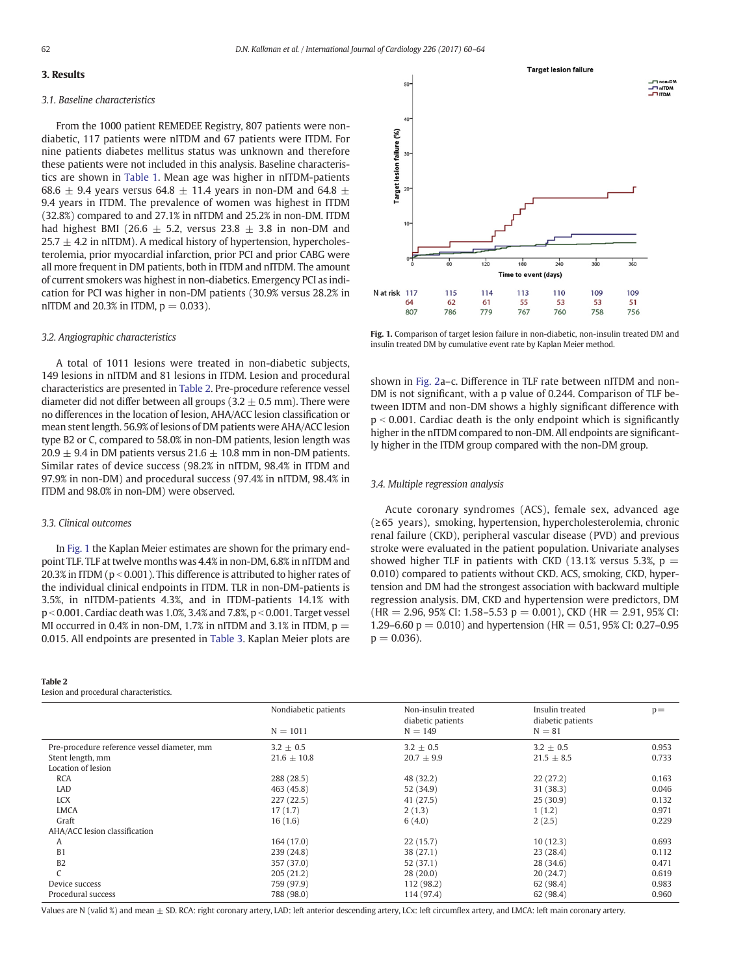# 3. Results

#### 3.1. Baseline characteristics

From the 1000 patient REMEDEE Registry, 807 patients were nondiabetic, 117 patients were nITDM and 67 patients were ITDM. For nine patients diabetes mellitus status was unknown and therefore these patients were not included in this analysis. Baseline characteristics are shown in [Table 1.](#page-1-0) Mean age was higher in nITDM-patients 68.6  $\pm$  9.4 years versus 64.8  $\pm$  11.4 years in non-DM and 64.8  $\pm$ 9.4 years in ITDM. The prevalence of women was highest in ITDM (32.8%) compared to and 27.1% in nITDM and 25.2% in non-DM. ITDM had highest BMI (26.6  $\pm$  5.2, versus 23.8  $\pm$  3.8 in non-DM and  $25.7 \pm 4.2$  in nITDM). A medical history of hypertension, hypercholesterolemia, prior myocardial infarction, prior PCI and prior CABG were all more frequent in DM patients, both in ITDM and nITDM. The amount of current smokers was highest in non-diabetics. Emergency PCI as indication for PCI was higher in non-DM patients (30.9% versus 28.2% in nITDM and 20.3% in ITDM,  $p = 0.033$ ).

#### 3.2. Angiographic characteristics

A total of 1011 lesions were treated in non-diabetic subjects, 149 lesions in nITDM and 81 lesions in ITDM. Lesion and procedural characteristics are presented in Table 2. Pre-procedure reference vessel diameter did not differ between all groups (3.2  $\pm$  0.5 mm). There were no differences in the location of lesion, AHA/ACC lesion classification or mean stent length. 56.9% of lesions of DM patients were AHA/ACC lesion type B2 or C, compared to 58.0% in non-DM patients, lesion length was 20.9  $\pm$  9.4 in DM patients versus 21.6  $\pm$  10.8 mm in non-DM patients. Similar rates of device success (98.2% in nITDM, 98.4% in ITDM and 97.9% in non-DM) and procedural success (97.4% in nITDM, 98.4% in ITDM and 98.0% in non-DM) were observed.

# 3.3. Clinical outcomes

In Fig. 1 the Kaplan Meier estimates are shown for the primary endpoint TLF. TLF at twelve months was 4.4% in non-DM, 6.8% in nITDM and 20.3% in ITDM ( $p < 0.001$ ). This difference is attributed to higher rates of the individual clinical endpoints in ITDM. TLR in non-DM-patients is 3.5%, in nITDM-patients 4.3%, and in ITDM-patients 14.1% with  $p < 0.001$ . Cardiac death was 1.0%, 3.4% and 7.8%,  $p < 0.001$ . Target vessel MI occurred in 0.4% in non-DM, 1.7% in nITDM and 3.1% in ITDM,  $p =$ 0.015. All endpoints are presented in [Table 3.](#page-3-0) Kaplan Meier plots are

#### Table 2

Lesion and procedural characteristics.



Fig. 1. Comparison of target lesion failure in non-diabetic, non-insulin treated DM and insulin treated DM by cumulative event rate by Kaplan Meier method.

shown in [Fig. 2](#page-3-0)a–c. Difference in TLF rate between nITDM and non-DM is not significant, with a p value of 0.244. Comparison of TLF between IDTM and non-DM shows a highly significant difference with  $p < 0.001$ . Cardiac death is the only endpoint which is significantly higher in the nITDM compared to non-DM. All endpoints are significantly higher in the ITDM group compared with the non-DM group.

# 3.4. Multiple regression analysis

Acute coronary syndromes (ACS), female sex, advanced age (≥65 years), smoking, hypertension, hypercholesterolemia, chronic renal failure (CKD), peripheral vascular disease (PVD) and previous stroke were evaluated in the patient population. Univariate analyses showed higher TLF in patients with CKD (13.1% versus 5.3%,  $p =$ 0.010) compared to patients without CKD. ACS, smoking, CKD, hypertension and DM had the strongest association with backward multiple regression analysis. DM, CKD and hypertension were predictors, DM  $(HR = 2.96, 95\% \text{ CI: } 1.58 - 5.53 \text{ p} = 0.001$ , CKD  $(HR = 2.91, 95\% \text{ CI: } 1.58 - 5.53 \text{ p} = 0.001$ 1.29–6.60  $p = 0.010$ ) and hypertension (HR = 0.51, 95% CI; 0.27–0.95)  $p = 0.036$ ).

|                                             | Nondiabetic patients | Non-insulin treated<br>diabetic patients | Insulin treated<br>diabetic patients | $p =$ |
|---------------------------------------------|----------------------|------------------------------------------|--------------------------------------|-------|
|                                             | $N = 1011$           | $N = 149$                                | $N = 81$                             |       |
| Pre-procedure reference vessel diameter, mm | $3.2 \pm 0.5$        | $3.2 \pm 0.5$                            | $3.2 \pm 0.5$                        | 0.953 |
| Stent length, mm                            | $21.6 \pm 10.8$      | $20.7 \pm 9.9$                           | $21.5 \pm 8.5$                       | 0.733 |
| Location of lesion                          |                      |                                          |                                      |       |
| <b>RCA</b>                                  | 288 (28.5)           | 48 (32.2)                                | 22(27.2)                             | 0.163 |
| LAD                                         | 463 (45.8)           | 52 (34.9)                                | 31 (38.3)                            | 0.046 |
| <b>LCX</b>                                  | 227(22.5)            | 41 (27.5)                                | 25(30.9)                             | 0.132 |
| <b>LMCA</b>                                 | 17(1.7)              | 2(1.3)                                   | 1(1.2)                               | 0.971 |
| Graft                                       | 16(1.6)              | 6(4.0)                                   | 2(2.5)                               | 0.229 |
| AHA/ACC lesion classification               |                      |                                          |                                      |       |
| A                                           | 164 (17.0)           | 22(15.7)                                 | 10(12.3)                             | 0.693 |
| B1                                          | 239 (24.8)           | 38 (27.1)                                | 23(28.4)                             | 0.112 |
| B <sub>2</sub>                              | 357 (37.0)           | 52 (37.1)                                | 28 (34.6)                            | 0.471 |
|                                             | 205(21.2)            | 28(20.0)                                 | 20(24.7)                             | 0.619 |
| Device success                              | 759 (97.9)           | 112 (98.2)                               | 62 (98.4)                            | 0.983 |
| Procedural success                          | 788 (98.0)           | 114 (97.4)                               | 62 (98.4)                            | 0.960 |
|                                             |                      |                                          |                                      |       |

Values are N (valid %) and mean  $\pm$  SD. RCA: right coronary artery, LAD: left anterior descending artery, LCx: left circumflex artery, and LMCA: left main coronary artery.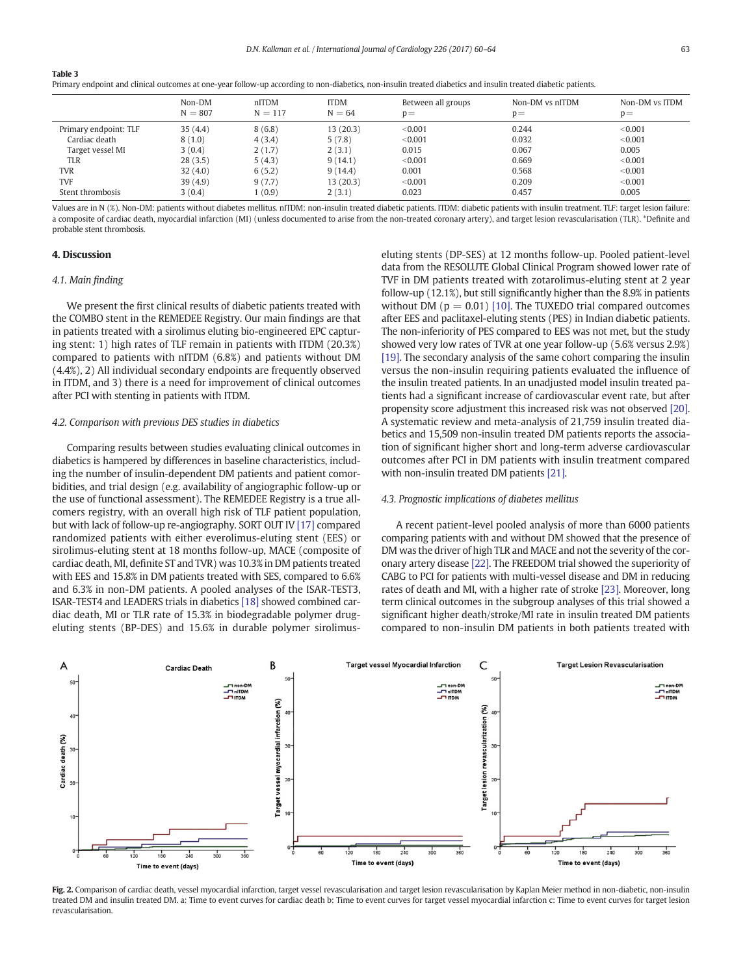<span id="page-3-0"></span>Table 3

|  |  |  | Primary endpoint and clinical outcomes at one-year follow-up according to non-diabetics, non-insulin treated diabetics and insulin treated diabetic patients. |  |  |  |  |  |
|--|--|--|---------------------------------------------------------------------------------------------------------------------------------------------------------------|--|--|--|--|--|
|  |  |  |                                                                                                                                                               |  |  |  |  |  |

|                       | Non-DM<br>$N = 807$ | nITDM<br>$N = 117$ | <b>ITDM</b><br>$N = 64$ | Between all groups<br>$D =$ | Non-DM vs nITDM<br>$p =$ | Non-DM vs ITDM<br>$p =$ |
|-----------------------|---------------------|--------------------|-------------------------|-----------------------------|--------------------------|-------------------------|
| Primary endpoint: TLF | 35(4.4)             | 8(6.8)             | 13(20.3)                | < 0.001                     | 0.244                    | < 0.001                 |
| Cardiac death         | 8(1.0)              | 4(3.4)             | 5(7.8)                  | < 0.001                     | 0.032                    | < 0.001                 |
| Target vessel MI      | 3(0.4)              | 2(1.7)             | 2(3.1)                  | 0.015                       | 0.067                    | 0.005                   |
| TLR                   | 28(3.5)             | 5(4.3)             | 9(14.1)                 | < 0.001                     | 0.669                    | < 0.001                 |
| <b>TVR</b>            | 32(4.0)             | 6(5.2)             | 9(14.4)                 | 0.001                       | 0.568                    | < 0.001                 |
| <b>TVF</b>            | 39(4.9)             | 9(7.7)             | 13(20.3)                | < 0.001                     | 0.209                    | < 0.001                 |
| Stent thrombosis      | 3(0.4)              | 1 (0.9)            | 2(3.1)                  | 0.023                       | 0.457                    | 0.005                   |

Values are in N (%). Non-DM: patients without diabetes mellitus. nITDM: non-insulin treated diabetic patients. ITDM: diabetic patients with insulin treatment. TLF: target lesion failure: a composite of cardiac death, myocardial infarction (MI) (unless documented to arise from the non-treated coronary artery), and target lesion revascularisation (TLR). \*Definite and probable stent thrombosis.

# 4. Discussion

### 4.1. Main finding

We present the first clinical results of diabetic patients treated with the COMBO stent in the REMEDEE Registry. Our main findings are that in patients treated with a sirolimus eluting bio-engineered EPC capturing stent: 1) high rates of TLF remain in patients with ITDM (20.3%) compared to patients with nITDM (6.8%) and patients without DM (4.4%), 2) All individual secondary endpoints are frequently observed in ITDM, and 3) there is a need for improvement of clinical outcomes after PCI with stenting in patients with ITDM.

#### 4.2. Comparison with previous DES studies in diabetics

Comparing results between studies evaluating clinical outcomes in diabetics is hampered by differences in baseline characteristics, including the number of insulin-dependent DM patients and patient comorbidities, and trial design (e.g. availability of angiographic follow-up or the use of functional assessment). The REMEDEE Registry is a true allcomers registry, with an overall high risk of TLF patient population, but with lack of follow-up re-angiography. SORT OUT IV [\[17\]](#page-4-0) compared randomized patients with either everolimus-eluting stent (EES) or sirolimus-eluting stent at 18 months follow-up, MACE (composite of cardiac death, MI, definite ST and TVR) was 10.3% in DM patients treated with EES and 15.8% in DM patients treated with SES, compared to 6.6% and 6.3% in non-DM patients. A pooled analyses of the ISAR-TEST3, ISAR-TEST4 and LEADERS trials in diabetics [\[18\]](#page-4-0) showed combined cardiac death, MI or TLR rate of 15.3% in biodegradable polymer drugeluting stents (BP-DES) and 15.6% in durable polymer sirolimuseluting stents (DP-SES) at 12 months follow-up. Pooled patient-level data from the RESOLUTE Global Clinical Program showed lower rate of TVF in DM patients treated with zotarolimus-eluting stent at 2 year follow-up (12.1%), but still significantly higher than the 8.9% in patients without DM ( $p = 0.01$ ) [\[10\]](#page-4-0). The TUXEDO trial compared outcomes after EES and paclitaxel-eluting stents (PES) in Indian diabetic patients. The non-inferiority of PES compared to EES was not met, but the study showed very low rates of TVR at one year follow-up (5.6% versus 2.9%) [\[19\]](#page-4-0). The secondary analysis of the same cohort comparing the insulin versus the non-insulin requiring patients evaluated the influence of the insulin treated patients. In an unadjusted model insulin treated patients had a significant increase of cardiovascular event rate, but after propensity score adjustment this increased risk was not observed [\[20\].](#page-4-0) A systematic review and meta-analysis of 21,759 insulin treated diabetics and 15,509 non-insulin treated DM patients reports the association of significant higher short and long-term adverse cardiovascular outcomes after PCI in DM patients with insulin treatment compared with non-insulin treated DM patients [\[21\].](#page-4-0)

#### 4.3. Prognostic implications of diabetes mellitus

A recent patient-level pooled analysis of more than 6000 patients comparing patients with and without DM showed that the presence of DM was the driver of high TLR and MACE and not the severity of the coronary artery disease [\[22\].](#page-4-0) The FREEDOM trial showed the superiority of CABG to PCI for patients with multi-vessel disease and DM in reducing rates of death and MI, with a higher rate of stroke [\[23\].](#page-4-0) Moreover, long term clinical outcomes in the subgroup analyses of this trial showed a significant higher death/stroke/MI rate in insulin treated DM patients compared to non-insulin DM patients in both patients treated with



Fig. 2. Comparison of cardiac death, vessel myocardial infarction, target vessel revascularisation and target lesion revascularisation by Kaplan Meier method in non-diabetic, non-insulin treated DM and insulin treated DM. a: Time to event curves for cardiac death b: Time to event curves for target vessel myocardial infarction c: Time to event curves for target lesion revascularisation.